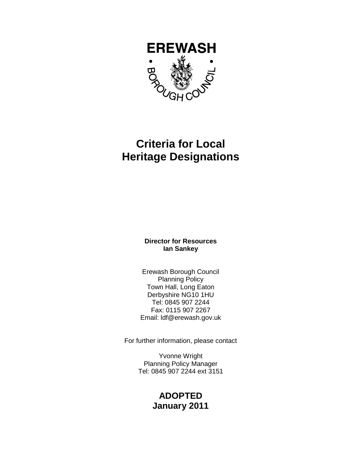

# **Criteria for Local Heritage Designations**

#### **Director for Resources Ian Sankey**

Erewash Borough Council Planning Policy Town Hall, Long Eaton Derbyshire NG10 1HU Tel: 0845 907 2244 Fax: 0115 907 2267 Email: ldf@erewash.gov.uk

For further information, please contact

Yvonne Wright Planning Policy Manager Tel: 0845 907 2244 ext 3151

# **ADOPTED January 2011**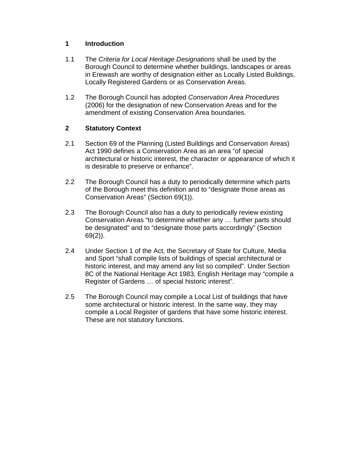#### **1 Introduction**

- 1.1 The Criteria for Local Heritage Designations shall be used by the Borough Council to determine whether buildings, landscapes or areas in Erewash are worthy of designation either as Locally Listed Buildings, Locally Registered Gardens or as Conservation Areas.
- 1.2 The Borough Council has adopted Conservation Area Procedures (2006) for the designation of new Conservation Areas and for the amendment of existing Conservation Area boundaries.

# **2 Statutory Context**

- 2.1 Section 69 of the Planning (Listed Buildings and Conservation Areas) Act 1990 defines a Conservation Area as an area "of special architectural or historic interest, the character or appearance of which it is desirable to preserve or enhance".
- 2.2 The Borough Council has a duty to periodically determine which parts of the Borough meet this definition and to "designate those areas as Conservation Areas" (Section 69(1)).
- 2.3 The Borough Council also has a duty to periodically review existing Conservation Areas "to determine whether any … further parts should be designated" and to "designate those parts accordingly" (Section 69(2)).
- 2.4 Under Section 1 of the Act, the Secretary of State for Culture, Media and Sport "shall compile lists of buildings of special architectural or historic interest, and may amend any list so compiled". Under Section 8C of the National Heritage Act 1983, English Heritage may "compile a Register of Gardens … of special historic interest".
- 2.5 The Borough Council may compile a Local List of buildings that have some architectural or historic interest. In the same way, they may compile a Local Register of gardens that have some historic interest. These are not statutory functions.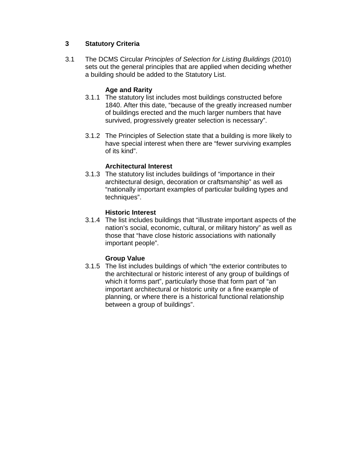# **3 Statutory Criteria**

3.1 The DCMS Circular Principles of Selection for Listing Buildings (2010) sets out the general principles that are applied when deciding whether a building should be added to the Statutory List.

#### **Age and Rarity**

- 3.1.1 The statutory list includes most buildings constructed before 1840. After this date, "because of the greatly increased number of buildings erected and the much larger numbers that have survived, progressively greater selection is necessary".
- 3.1.2 The Principles of Selection state that a building is more likely to have special interest when there are "fewer surviving examples of its kind".

#### **Architectural Interest**

3.1.3 The statutory list includes buildings of "importance in their architectural design, decoration or craftsmanship" as well as "nationally important examples of particular building types and techniques".

#### **Historic Interest**

3.1.4 The list includes buildings that "illustrate important aspects of the nation's social, economic, cultural, or military history" as well as those that "have close historic associations with nationally important people".

#### **Group Value**

3.1.5 The list includes buildings of which "the exterior contributes to the architectural or historic interest of any group of buildings of which it forms part", particularly those that form part of "an important architectural or historic unity or a fine example of planning, or where there is a historical functional relationship between a group of buildings".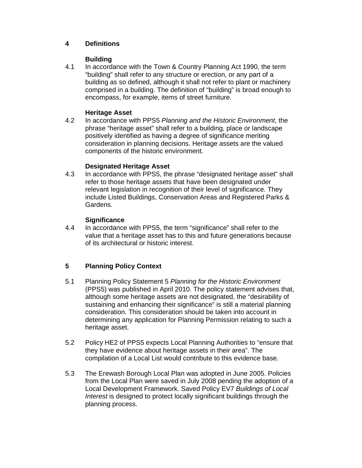# **4 Definitions**

#### **Building**

4.1 In accordance with the Town & Country Planning Act 1990, the term "building" shall refer to any structure or erection, or any part of a building as so defined, although it shall not refer to plant or machinery comprised in a building. The definition of "building" is broad enough to encompass, for example, items of street furniture.

# **Heritage Asset**

4.2 In accordance with PPS5 Planning and the Historic Environment, the phrase "heritage asset" shall refer to a building, place or landscape positively identified as having a degree of significance meriting consideration in planning decisions. Heritage assets are the valued components of the historic environment.

#### **Designated Heritage Asset**

4.3 In accordance with PPS5, the phrase "designated heritage asset" shall refer to those heritage assets that have been designated under relevant legislation in recognition of their level of significance. They include Listed Buildings, Conservation Areas and Registered Parks & Gardens.

# **Significance**

4.4 In accordance with PPS5, the term "significance" shall refer to the value that a heritage asset has to this and future generations because of its architectural or historic interest.

# **5 Planning Policy Context**

- 5.1 Planning Policy Statement 5 Planning for the Historic Environment (PPS5) was published in April 2010. The policy statement advises that, although some heritage assets are not designated, the "desirability of sustaining and enhancing their significance" is still a material planning consideration. This consideration should be taken into account in determining any application for Planning Permission relating to such a heritage asset.
- 5.2 Policy HE2 of PPS5 expects Local Planning Authorities to "ensure that they have evidence about heritage assets in their area". The compilation of a Local List would contribute to this evidence base.
- 5.3 The Erewash Borough Local Plan was adopted in June 2005. Policies from the Local Plan were saved in July 2008 pending the adoption of a Local Development Framework. Saved Policy EV7 Buildings of Local Interest is designed to protect locally significant buildings through the planning process.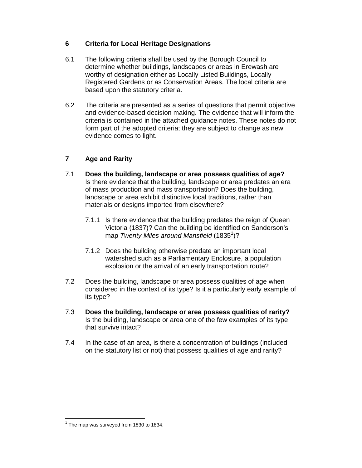# **6 Criteria for Local Heritage Designations**

- 6.1 The following criteria shall be used by the Borough Council to determine whether buildings, landscapes or areas in Erewash are worthy of designation either as Locally Listed Buildings, Locally Registered Gardens or as Conservation Areas. The local criteria are based upon the statutory criteria.
- 6.2 The criteria are presented as a series of questions that permit objective and evidence-based decision making. The evidence that will inform the criteria is contained in the attached guidance notes. These notes do not form part of the adopted criteria; they are subject to change as new evidence comes to light.

# **7 Age and Rarity**

- 7.1 **Does the building, landscape or area possess qualities of age?** Is there evidence that the building, landscape or area predates an era of mass production and mass transportation? Does the building, landscape or area exhibit distinctive local traditions, rather than materials or designs imported from elsewhere?
	- 7.1.1 Is there evidence that the building predates the reign of Queen Victoria (1837)? Can the building be identified on Sanderson's map Twenty Miles around Mansfield (1835<sup>1</sup>)?
	- 7.1.2 Does the building otherwise predate an important local watershed such as a Parliamentary Enclosure, a population explosion or the arrival of an early transportation route?
- 7.2 Does the building, landscape or area possess qualities of age when considered in the context of its type? Is it a particularly early example of its type?
- 7.3 **Does the building, landscape or area possess qualities of rarity?** Is the building, landscape or area one of the few examples of its type that survive intact?
- 7.4 In the case of an area, is there a concentration of buildings (included on the statutory list or not) that possess qualities of age and rarity?

 $\overline{a}$  $1$  The map was surveyed from 1830 to 1834.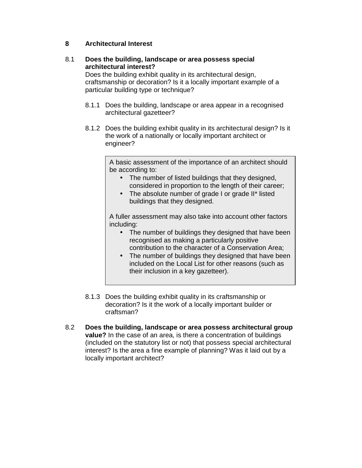#### **8 Architectural Interest**

# 8.1 **Does the building, landscape or area possess special architectural interest?**

Does the building exhibit quality in its architectural design, craftsmanship or decoration? Is it a locally important example of a particular building type or technique?

- 8.1.1 Does the building, landscape or area appear in a recognised architectural gazetteer?
- 8.1.2 Does the building exhibit quality in its architectural design? Is it the work of a nationally or locally important architect or engineer?

A basic assessment of the importance of an architect should be according to:

- The number of listed buildings that they designed, considered in proportion to the length of their career;
- The absolute number of grade I or grade II\* listed buildings that they designed.

A fuller assessment may also take into account other factors including:

- The number of buildings they designed that have been recognised as making a particularly positive contribution to the character of a Conservation Area;
- The number of buildings they designed that have been included on the Local List for other reasons (such as their inclusion in a key gazetteer).
- 8.1.3 Does the building exhibit quality in its craftsmanship or decoration? Is it the work of a locally important builder or craftsman?
- 8.2 **Does the building, landscape or area possess architectural group value?** In the case of an area, is there a concentration of buildings (included on the statutory list or not) that possess special architectural interest? Is the area a fine example of planning? Was it laid out by a locally important architect?